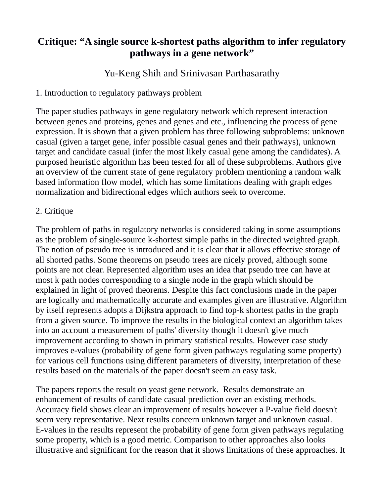## **Critique: "A single source k-shortest paths algorithm to infer regulatory pathways in a gene network"**

Yu-Keng Shih and Srinivasan Parthasarathy

1. Introduction to regulatory pathways problem

The paper studies pathways in gene regulatory network which represent interaction between genes and proteins, genes and genes and etc., influencing the process of gene expression. It is shown that a given problem has three following subproblems: unknown casual (given a target gene, infer possible casual genes and their pathways), unknown target and candidate casual (infer the most likely casual gene among the candidates). A purposed heuristic algorithm has been tested for all of these subproblems. Authors give an overview of the current state of gene regulatory problem mentioning a random walk based information flow model, which has some limitations dealing with graph edges normalization and bidirectional edges which authors seek to overcome.

## 2. Critique

The problem of paths in regulatory networks is considered taking in some assumptions as the problem of single-source k-shortest simple paths in the directed weighted graph. The notion of pseudo tree is introduced and it is clear that it allows effective storage of all shorted paths. Some theorems on pseudo trees are nicely proved, although some points are not clear. Represented algorithm uses an idea that pseudo tree can have at most k path nodes corresponding to a single node in the graph which should be explained in light of proved theorems. Despite this fact conclusions made in the paper are logically and mathematically accurate and examples given are illustrative. Algorithm by itself represents adopts a Dijkstra approach to find top-k shortest paths in the graph from a given source. To improve the results in the biological context an algorithm takes into an account a measurement of paths' diversity though it doesn't give much improvement according to shown in primary statistical results. However case study improves e-values (probability of gene form given pathways regulating some property) for various cell functions using different parameters of diversity, interpretation of these results based on the materials of the paper doesn't seem an easy task.

The papers reports the result on yeast gene network. Results demonstrate an enhancement of results of candidate casual prediction over an existing methods. Accuracy field shows clear an improvement of results however a P-value field doesn't seem very representative. Next results concern unknown target and unknown casual. E-values in the results represent the probability of gene form given pathways regulating some property, which is a good metric. Comparison to other approaches also looks illustrative and significant for the reason that it shows limitations of these approaches. It